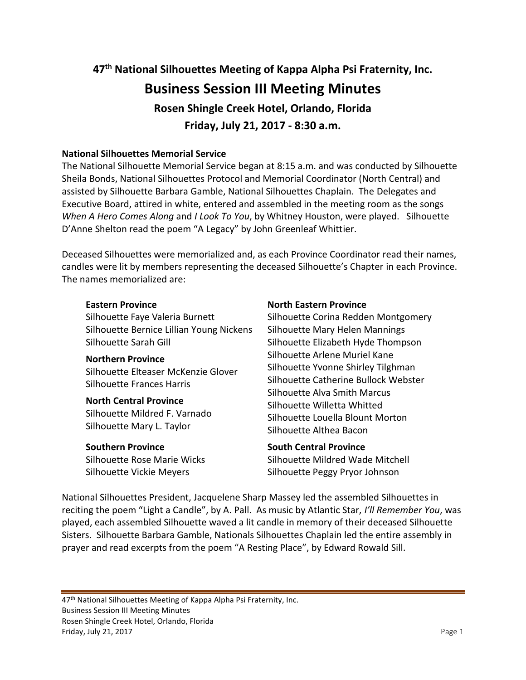# **47th National Silhouettes Meeting of Kappa Alpha Psi Fraternity, Inc. Business Session III Meeting Minutes Rosen Shingle Creek Hotel, Orlando, Florida Friday, July 21, 2017 - 8:30 a.m.**

## **National Silhouettes Memorial Service**

The National Silhouette Memorial Service began at 8:15 a.m. and was conducted by Silhouette Sheila Bonds, National Silhouettes Protocol and Memorial Coordinator (North Central) and assisted by Silhouette Barbara Gamble, National Silhouettes Chaplain. The Delegates and Executive Board, attired in white, entered and assembled in the meeting room as the songs *When A Hero Comes Along* and *I Look To You*, by Whitney Houston, were played. Silhouette D'Anne Shelton read the poem "A Legacy" by John Greenleaf Whittier.

Deceased Silhouettes were memorialized and, as each Province Coordinator read their names, candles were lit by members representing the deceased Silhouette's Chapter in each Province. The names memorialized are:

## **Eastern Province**

Silhouette Faye Valeria Burnett Silhouette Bernice Lillian Young Nickens Silhouette Sarah Gill

## **Northern Province**

Silhouette Elteaser McKenzie Glover Silhouette Frances Harris

#### **North Central Province**

Silhouette Mildred F. Varnado Silhouette Mary L. Taylor

## **Southern Province**

Silhouette Rose Marie Wicks Silhouette Vickie Meyers

## **North Eastern Province**

Silhouette Corina Redden Montgomery Silhouette Mary Helen Mannings Silhouette Elizabeth Hyde Thompson Silhouette Arlene Muriel Kane Silhouette Yvonne Shirley Tilghman Silhouette Catherine Bullock Webster Silhouette Alva Smith Marcus Silhouette Willetta Whitted Silhouette Louella Blount Morton Silhouette Althea Bacon

## **South Central Province**

Silhouette Mildred Wade Mitchell Silhouette Peggy Pryor Johnson

National Silhouettes President, Jacquelene Sharp Massey led the assembled Silhouettes in reciting the poem "Light a Candle", by A. Pall. As music by Atlantic Star, *I'll Remember You*, was played, each assembled Silhouette waved a lit candle in memory of their deceased Silhouette Sisters. Silhouette Barbara Gamble, Nationals Silhouettes Chaplain led the entire assembly in prayer and read excerpts from the poem "A Resting Place", by Edward Rowald Sill.

47<sup>th</sup> National Silhouettes Meeting of Kappa Alpha Psi Fraternity, Inc. Business Session III Meeting Minutes Rosen Shingle Creek Hotel, Orlando, Florida Friday, July 21, 2017 **Page 1**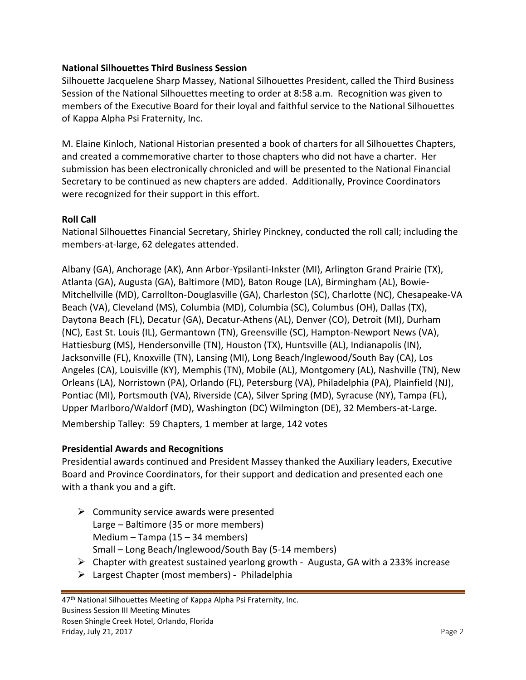# **National Silhouettes Third Business Session**

Silhouette Jacquelene Sharp Massey, National Silhouettes President, called the Third Business Session of the National Silhouettes meeting to order at 8:58 a.m. Recognition was given to members of the Executive Board for their loyal and faithful service to the National Silhouettes of Kappa Alpha Psi Fraternity, Inc.

M. Elaine Kinloch, National Historian presented a book of charters for all Silhouettes Chapters, and created a commemorative charter to those chapters who did not have a charter. Her submission has been electronically chronicled and will be presented to the National Financial Secretary to be continued as new chapters are added. Additionally, Province Coordinators were recognized for their support in this effort.

# **Roll Call**

National Silhouettes Financial Secretary, Shirley Pinckney, conducted the roll call; including the members-at-large, 62 delegates attended.

Albany (GA), Anchorage (AK), Ann Arbor-Ypsilanti-Inkster (MI), Arlington Grand Prairie (TX), Atlanta (GA), Augusta (GA), Baltimore (MD), Baton Rouge (LA), Birmingham (AL), Bowie-Mitchellville (MD), Carrollton-Douglasville (GA), Charleston (SC), Charlotte (NC), Chesapeake-VA Beach (VA), Cleveland (MS), Columbia (MD), Columbia (SC), Columbus (OH), Dallas (TX), Daytona Beach (FL), Decatur (GA), Decatur-Athens (AL), Denver (CO), Detroit (MI), Durham (NC), East St. Louis (IL), Germantown (TN), Greensville (SC), Hampton-Newport News (VA), Hattiesburg (MS), Hendersonville (TN), Houston (TX), Huntsville (AL), Indianapolis (IN), Jacksonville (FL), Knoxville (TN), Lansing (MI), Long Beach/Inglewood/South Bay (CA), Los Angeles (CA), Louisville (KY), Memphis (TN), Mobile (AL), Montgomery (AL), Nashville (TN), New Orleans (LA), Norristown (PA), Orlando (FL), Petersburg (VA), Philadelphia (PA), Plainfield (NJ), Pontiac (MI), Portsmouth (VA), Riverside (CA), Silver Spring (MD), Syracuse (NY), Tampa (FL), Upper Marlboro/Waldorf (MD), Washington (DC) Wilmington (DE), 32 Members-at-Large. Membership Talley: 59 Chapters, 1 member at large, 142 votes

# **Presidential Awards and Recognitions**

Presidential awards continued and President Massey thanked the Auxiliary leaders, Executive Board and Province Coordinators, for their support and dedication and presented each one with a thank you and a gift.

- $\triangleright$  Community service awards were presented Large – Baltimore (35 or more members) Medium – Tampa (15 – 34 members) Small – Long Beach/Inglewood/South Bay (5-14 members)
- $\triangleright$  Chapter with greatest sustained yearlong growth Augusta, GA with a 233% increase
- $\triangleright$  Largest Chapter (most members) Philadelphia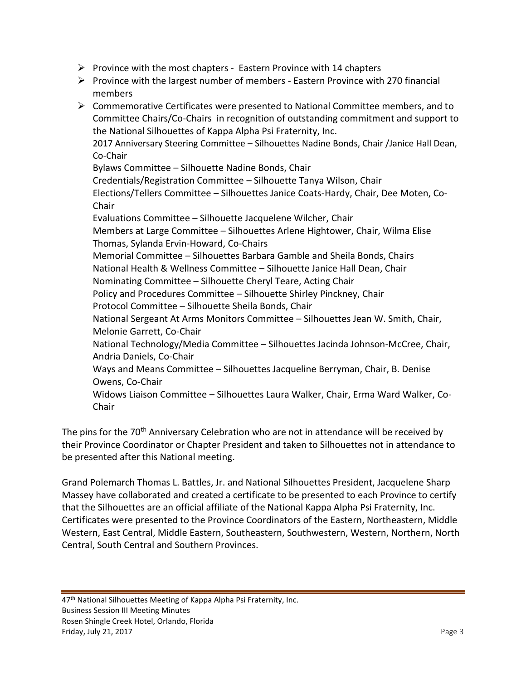- $\triangleright$  Province with the most chapters Eastern Province with 14 chapters
- $\triangleright$  Province with the largest number of members Eastern Province with 270 financial members
- $\triangleright$  Commemorative Certificates were presented to National Committee members, and to Committee Chairs/Co-Chairs in recognition of outstanding commitment and support to the National Silhouettes of Kappa Alpha Psi Fraternity, Inc. 2017 Anniversary Steering Committee – Silhouettes Nadine Bonds, Chair /Janice Hall Dean, Co-Chair Bylaws Committee – Silhouette Nadine Bonds, Chair Credentials/Registration Committee – Silhouette Tanya Wilson, Chair Elections/Tellers Committee – Silhouettes Janice Coats-Hardy, Chair, Dee Moten, Co-Chair Evaluations Committee – Silhouette Jacquelene Wilcher, Chair Members at Large Committee – Silhouettes Arlene Hightower, Chair, Wilma Elise Thomas, Sylanda Ervin-Howard, Co-Chairs Memorial Committee – Silhouettes Barbara Gamble and Sheila Bonds, Chairs National Health & Wellness Committee – Silhouette Janice Hall Dean, Chair Nominating Committee – Silhouette Cheryl Teare, Acting Chair Policy and Procedures Committee – Silhouette Shirley Pinckney, Chair Protocol Committee – Silhouette Sheila Bonds, Chair National Sergeant At Arms Monitors Committee – Silhouettes Jean W. Smith, Chair, Melonie Garrett, Co-Chair National Technology/Media Committee – Silhouettes Jacinda Johnson-McCree, Chair, Andria Daniels, Co-Chair Ways and Means Committee – Silhouettes Jacqueline Berryman, Chair, B. Denise Owens, Co-Chair Widows Liaison Committee – Silhouettes Laura Walker, Chair, Erma Ward Walker, Co-Chair

The pins for the 70<sup>th</sup> Anniversary Celebration who are not in attendance will be received by their Province Coordinator or Chapter President and taken to Silhouettes not in attendance to be presented after this National meeting.

Grand Polemarch Thomas L. Battles, Jr. and National Silhouettes President, Jacquelene Sharp Massey have collaborated and created a certificate to be presented to each Province to certify that the Silhouettes are an official affiliate of the National Kappa Alpha Psi Fraternity, Inc. Certificates were presented to the Province Coordinators of the Eastern, Northeastern, Middle Western, East Central, Middle Eastern, Southeastern, Southwestern, Western, Northern, North Central, South Central and Southern Provinces.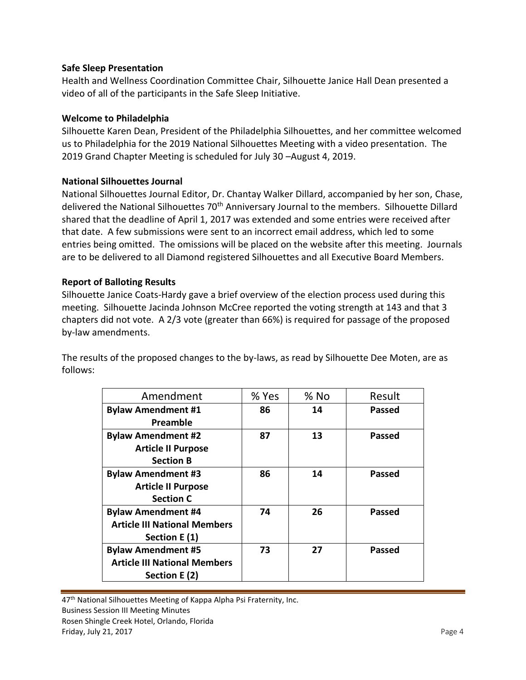## **Safe Sleep Presentation**

Health and Wellness Coordination Committee Chair, Silhouette Janice Hall Dean presented a video of all of the participants in the Safe Sleep Initiative.

## **Welcome to Philadelphia**

Silhouette Karen Dean, President of the Philadelphia Silhouettes, and her committee welcomed us to Philadelphia for the 2019 National Silhouettes Meeting with a video presentation. The 2019 Grand Chapter Meeting is scheduled for July 30 –August 4, 2019.

## **National Silhouettes Journal**

National Silhouettes Journal Editor, Dr. Chantay Walker Dillard, accompanied by her son, Chase, delivered the National Silhouettes 70th Anniversary Journal to the members. Silhouette Dillard shared that the deadline of April 1, 2017 was extended and some entries were received after that date. A few submissions were sent to an incorrect email address, which led to some entries being omitted. The omissions will be placed on the website after this meeting. Journals are to be delivered to all Diamond registered Silhouettes and all Executive Board Members.

## **Report of Balloting Results**

Silhouette Janice Coats-Hardy gave a brief overview of the election process used during this meeting. Silhouette Jacinda Johnson McCree reported the voting strength at 143 and that 3 chapters did not vote. A 2/3 vote (greater than 66%) is required for passage of the proposed by-law amendments.

The results of the proposed changes to the by-laws, as read by Silhouette Dee Moten, are as follows:

| Amendment                           | % Yes | $%$ No | Result        |
|-------------------------------------|-------|--------|---------------|
| <b>Bylaw Amendment #1</b>           | 86    | 14     | <b>Passed</b> |
| Preamble                            |       |        |               |
| <b>Bylaw Amendment #2</b>           | 87    | 13     | Passed        |
| <b>Article II Purpose</b>           |       |        |               |
| <b>Section B</b>                    |       |        |               |
| <b>Bylaw Amendment #3</b>           | 86    | 14     | <b>Passed</b> |
| <b>Article II Purpose</b>           |       |        |               |
| <b>Section C</b>                    |       |        |               |
| <b>Bylaw Amendment #4</b>           | 74    | 26     | <b>Passed</b> |
| <b>Article III National Members</b> |       |        |               |
| Section E (1)                       |       |        |               |
| <b>Bylaw Amendment #5</b>           | 73    | 27     | <b>Passed</b> |
| <b>Article III National Members</b> |       |        |               |
| Section E (2)                       |       |        |               |

47<sup>th</sup> National Silhouettes Meeting of Kappa Alpha Psi Fraternity, Inc. Business Session III Meeting Minutes Rosen Shingle Creek Hotel, Orlando, Florida Friday, July 21, 2017 **Page 4**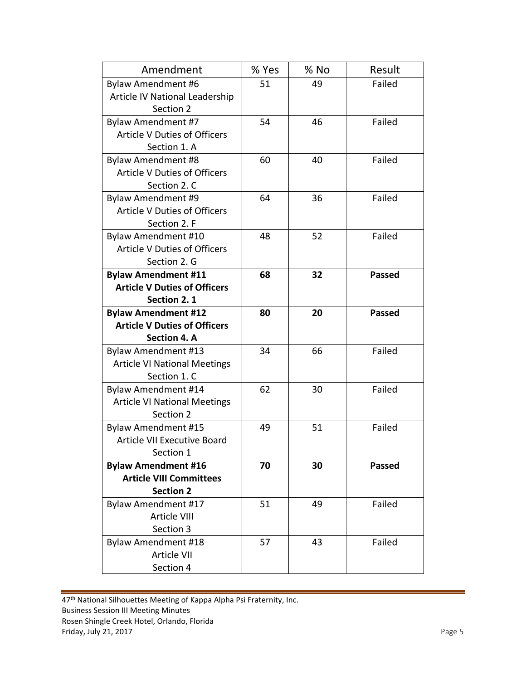| Amendment                           | % Yes | % No | Result        |
|-------------------------------------|-------|------|---------------|
| Bylaw Amendment #6                  | 51    | 49   | Failed        |
| Article IV National Leadership      |       |      |               |
| Section 2                           |       |      |               |
| <b>Bylaw Amendment #7</b>           | 54    | 46   | Failed        |
| <b>Article V Duties of Officers</b> |       |      |               |
| Section 1. A                        |       |      |               |
| Bylaw Amendment #8                  | 60    | 40   | Failed        |
| <b>Article V Duties of Officers</b> |       |      |               |
| Section 2. C                        |       |      |               |
| Bylaw Amendment #9                  | 64    | 36   | Failed        |
| <b>Article V Duties of Officers</b> |       |      |               |
| Section 2. F                        |       |      |               |
| Bylaw Amendment #10                 | 48    | 52   | Failed        |
| <b>Article V Duties of Officers</b> |       |      |               |
| Section 2. G                        |       |      |               |
| <b>Bylaw Amendment #11</b>          | 68    | 32   | <b>Passed</b> |
| <b>Article V Duties of Officers</b> |       |      |               |
| Section 2.1                         |       |      |               |
| <b>Bylaw Amendment #12</b>          | 80    | 20   | <b>Passed</b> |
| <b>Article V Duties of Officers</b> |       |      |               |
| Section 4. A                        |       |      |               |
| Bylaw Amendment #13                 | 34    | 66   | Failed        |
| <b>Article VI National Meetings</b> |       |      |               |
| Section 1. C                        |       |      |               |
| <b>Bylaw Amendment #14</b>          | 62    | 30   | Failed        |
| <b>Article VI National Meetings</b> |       |      |               |
| Section 2                           |       |      |               |
| Bylaw Amendment #15                 | 49    | 51   | Failed        |
| <b>Article VII Executive Board</b>  |       |      |               |
| Section 1                           |       |      |               |
| <b>Bylaw Amendment #16</b>          | 70    | 30   | <b>Passed</b> |
| <b>Article VIII Committees</b>      |       |      |               |
| <b>Section 2</b>                    |       |      |               |
| Bylaw Amendment #17                 | 51    | 49   | Failed        |
| Article VIII                        |       |      |               |
| Section 3                           |       |      |               |
| <b>Bylaw Amendment #18</b>          | 57    | 43   | Failed        |
| <b>Article VII</b>                  |       |      |               |
| Section 4                           |       |      |               |

47<sup>th</sup> National Silhouettes Meeting of Kappa Alpha Psi Fraternity, Inc. Business Session III Meeting Minutes Rosen Shingle Creek Hotel, Orlando, Florida Friday, July 21, 2017 2017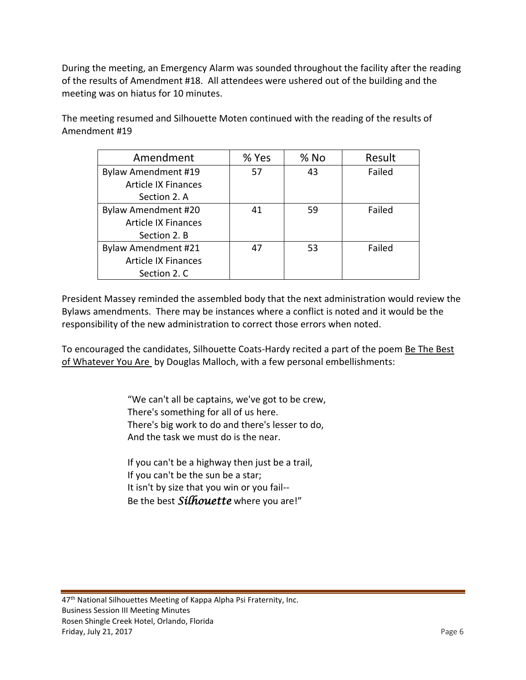During the meeting, an Emergency Alarm was sounded throughout the facility after the reading of the results of Amendment #18. All attendees were ushered out of the building and the meeting was on hiatus for 10 minutes.

The meeting resumed and Silhouette Moten continued with the reading of the results of Amendment #19

| Amendment                  | % Yes | $%$ No | Result |
|----------------------------|-------|--------|--------|
| Bylaw Amendment #19        | 57    | 43     | Failed |
| <b>Article IX Finances</b> |       |        |        |
| Section 2. A               |       |        |        |
| <b>Bylaw Amendment #20</b> | 41    | 59     | Failed |
| <b>Article IX Finances</b> |       |        |        |
| Section 2. B               |       |        |        |
| <b>Bylaw Amendment #21</b> | 47    | 53     | Failed |
| <b>Article IX Finances</b> |       |        |        |
| Section 2. C               |       |        |        |

President Massey reminded the assembled body that the next administration would review the Bylaws amendments. There may be instances where a conflict is noted and it would be the responsibility of the new administration to correct those errors when noted.

To encouraged the candidates, Silhouette Coats-Hardy recited a part of the poem Be The Best of Whatever You Are by Douglas Malloch, with a few personal embellishments:

> "We can't all be captains, we've got to be crew, There's something for all of us here. There's big work to do and there's lesser to do, And the task we must do is the near.

If you can't be a highway then just be a trail, If you can't be the sun be a star; It isn't by size that you win or you fail-- Be the best *Silhouette* where you are!"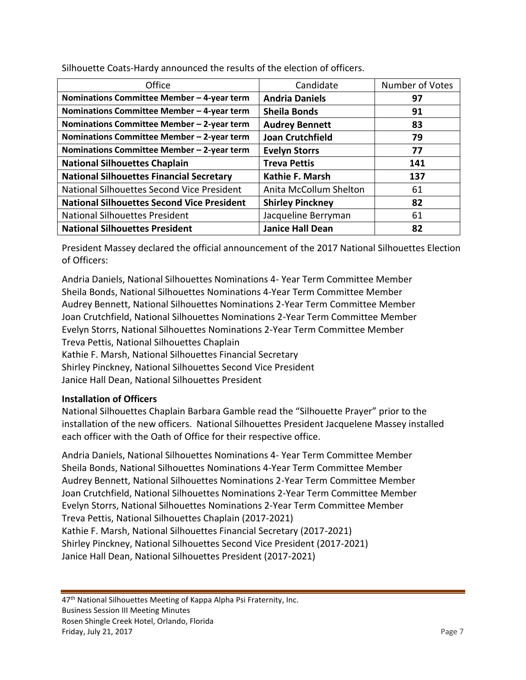| Office                                            | Candidate               | Number of Votes |
|---------------------------------------------------|-------------------------|-----------------|
| Nominations Committee Member - 4-year term        | <b>Andria Daniels</b>   | 97              |
| Nominations Committee Member - 4-year term        | <b>Sheila Bonds</b>     | 91              |
| Nominations Committee Member - 2-year term        | <b>Audrey Bennett</b>   | 83              |
| Nominations Committee Member - 2-year term        | <b>Joan Crutchfield</b> | 79              |
| Nominations Committee Member - 2-year term        | <b>Evelyn Storrs</b>    | 77              |
| <b>National Silhouettes Chaplain</b>              | <b>Treva Pettis</b>     | 141             |
| <b>National Silhouettes Financial Secretary</b>   | Kathie F. Marsh         | 137             |
| National Silhouettes Second Vice President        | Anita McCollum Shelton  | 61              |
| <b>National Silhouettes Second Vice President</b> | <b>Shirley Pinckney</b> | 82              |
| <b>National Silhouettes President</b>             | Jacqueline Berryman     | 61              |
| <b>National Silhouettes President</b>             | <b>Janice Hall Dean</b> | 82              |

Silhouette Coats-Hardy announced the results of the election of officers.

President Massey declared the official announcement of the 2017 National Silhouettes Election of Officers:

Andria Daniels, National Silhouettes Nominations 4- Year Term Committee Member Sheila Bonds, National Silhouettes Nominations 4-Year Term Committee Member Audrey Bennett, National Silhouettes Nominations 2-Year Term Committee Member Joan Crutchfield, National Silhouettes Nominations 2-Year Term Committee Member Evelyn Storrs, National Silhouettes Nominations 2-Year Term Committee Member Treva Pettis, National Silhouettes Chaplain Kathie F. Marsh, National Silhouettes Financial Secretary Shirley Pinckney, National Silhouettes Second Vice President Janice Hall Dean, National Silhouettes President

# **Installation of Officers**

National Silhouettes Chaplain Barbara Gamble read the "Silhouette Prayer" prior to the installation of the new officers. National Silhouettes President Jacquelene Massey installed each officer with the Oath of Office for their respective office.

Andria Daniels, National Silhouettes Nominations 4- Year Term Committee Member Sheila Bonds, National Silhouettes Nominations 4-Year Term Committee Member Audrey Bennett, National Silhouettes Nominations 2-Year Term Committee Member Joan Crutchfield, National Silhouettes Nominations 2-Year Term Committee Member Evelyn Storrs, National Silhouettes Nominations 2-Year Term Committee Member Treva Pettis, National Silhouettes Chaplain (2017-2021) Kathie F. Marsh, National Silhouettes Financial Secretary (2017-2021) Shirley Pinckney, National Silhouettes Second Vice President (2017-2021) Janice Hall Dean, National Silhouettes President (2017-2021)